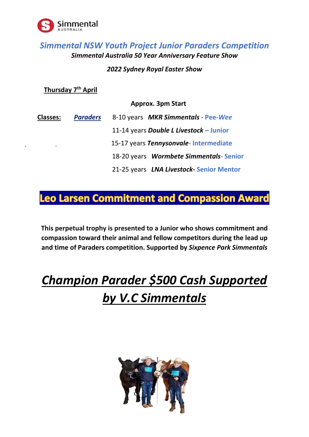

## *Simmental NSW Youth Project Junior Paraders Competition Simmental Australia 50 Year Anniversary Feature Show*

### *2022 Sydney Royal Easter Show*

**Thursday 7th April** 

#### **Approx. 3pm Start**

| <b>Classes:</b> | <b>Paraders</b> | 8-10 years MKR Simmentals - Pee-Wee     |
|-----------------|-----------------|-----------------------------------------|
|                 |                 | 11-14 years Double L Livestock - Junior |
| ٠               |                 | 15-17 years Tennysonvale-Intermediate   |
|                 |                 | 18-20 years Wormbete Simmentals-Senior  |
|                 |                 | 21-25 years LNA Livestock-Senior Mentor |

# **Leo Larsen Commitment and Compassion Award**

**This perpetual trophy is presented to a Junior who shows commitment and compassion toward their animal and fellow competitors during the lead up and time of Paraders competition. Supported by** *Sixpence Park Simmentals* 

# *Champion Parader \$500 Cash Supported by V.C Simmentals*

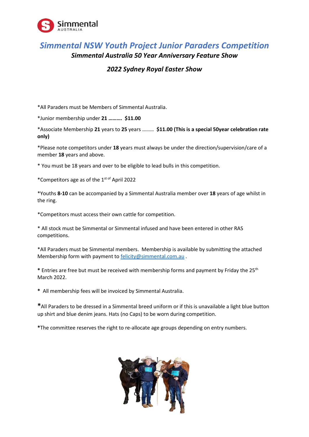

### *Simmental NSW Youth Project Junior Paraders Competition Simmental Australia 50 Year Anniversary Feature Show*

### *2022 Sydney Royal Easter Show*

\*All Paraders must be Members of Simmental Australia.

\*Junior membership under **21 ………. \$11.00**

\*Associate Membership **21** years to **25** years ……… **\$11.00 (This is a special 50year celebration rate only)**

\*Please note competitors under **18** years must always be under the direction/supervision/care of a member **18** years and above.

\* You must be 18 years and over to be eligible to lead bulls in this competition.

\*Competitors age as of the 1st of April 2022

\*Youths **8-10** can be accompanied by a Simmental Australia member over **18** years of age whilst in the ring.

\*Competitors must access their own cattle for competition.

\* All stock must be Simmental or Simmental infused and have been entered in other RAS competitions.

\*All Paraders must be Simmental members. Membership is available by submitting the attached Membership form with payment to **felicity@simmental.com.au**.

**\*** Entries are free but must be received with membership forms and payment by Friday the 25th March 2022.

**\*** All membership fees will be invoiced by Simmental Australia.

**\***All Paraders to be dressed in a Simmental breed uniform or if this is unavailable a light blue button up shirt and blue denim jeans. Hats (no Caps) to be worn during competition.

**\***The committee reserves the right to re-allocate age groups depending on entry numbers.